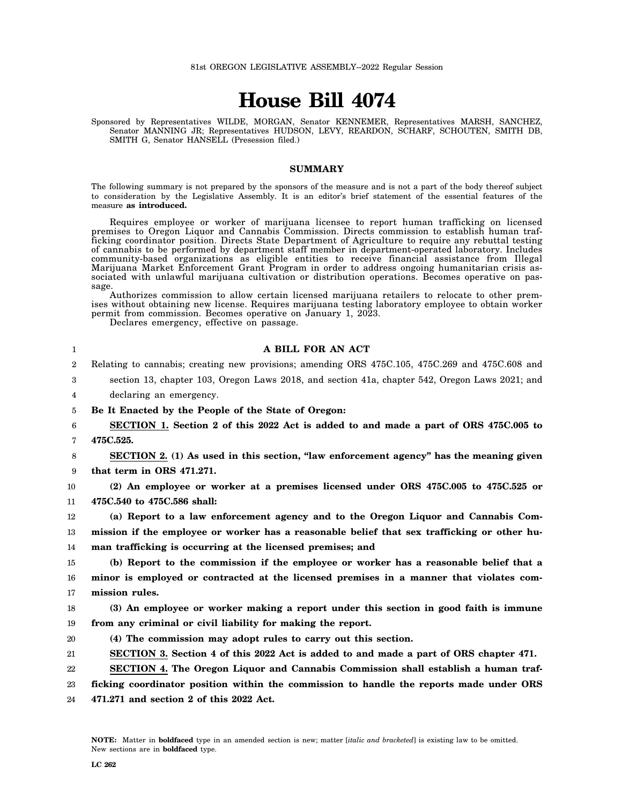## **House Bill 4074**

Sponsored by Representatives WILDE, MORGAN, Senator KENNEMER, Representatives MARSH, SANCHEZ, Senator MANNING JR; Representatives HUDSON, LEVY, REARDON, SCHARF, SCHOUTEN, SMITH DB, SMITH G, Senator HANSELL (Presession filed.)

## **SUMMARY**

The following summary is not prepared by the sponsors of the measure and is not a part of the body thereof subject to consideration by the Legislative Assembly. It is an editor's brief statement of the essential features of the measure **as introduced.**

Requires employee or worker of marijuana licensee to report human trafficking on licensed premises to Oregon Liquor and Cannabis Commission. Directs commission to establish human trafficking coordinator position. Directs State Department of Agriculture to require any rebuttal testing of cannabis to be performed by department staff member in department-operated laboratory. Includes community-based organizations as eligible entities to receive financial assistance from Illegal Marijuana Market Enforcement Grant Program in order to address ongoing humanitarian crisis associated with unlawful marijuana cultivation or distribution operations. Becomes operative on passage.

Authorizes commission to allow certain licensed marijuana retailers to relocate to other premises without obtaining new license. Requires marijuana testing laboratory employee to obtain worker permit from commission. Becomes operative on January 1, 2023.

Declares emergency, effective on passage.

| $\mathbf{1}$ | A BILL FOR AN ACT                                                                               |
|--------------|-------------------------------------------------------------------------------------------------|
| 2            | Relating to cannabis; creating new provisions; amending ORS 475C.105, 475C.269 and 475C.608 and |
| 3            | section 13, chapter 103, Oregon Laws 2018, and section 41a, chapter 542, Oregon Laws 2021; and  |
| 4            | declaring an emergency.                                                                         |
| 5            | Be It Enacted by the People of the State of Oregon:                                             |
| 6            | SECTION 1. Section 2 of this 2022 Act is added to and made a part of ORS 475C.005 to            |
| 7            | 475C.525.                                                                                       |
| 8            | SECTION 2. (1) As used in this section, "law enforcement agency" has the meaning given          |
| 9            | that term in ORS 471.271.                                                                       |
| 10           | (2) An employee or worker at a premises licensed under ORS 475C.005 to 475C.525 or              |
| 11           | 475C.540 to 475C.586 shall:                                                                     |
| 12           | (a) Report to a law enforcement agency and to the Oregon Liquor and Cannabis Com-               |
| 13           | mission if the employee or worker has a reasonable belief that sex trafficking or other hu-     |
| 14           | man trafficking is occurring at the licensed premises; and                                      |
| 15           | (b) Report to the commission if the employee or worker has a reasonable belief that a           |
| 16           | minor is employed or contracted at the licensed premises in a manner that violates com-         |
| 17           | mission rules.                                                                                  |
| 18           | (3) An employee or worker making a report under this section in good faith is immune            |
| 19           | from any criminal or civil liability for making the report.                                     |
| 20           | (4) The commission may adopt rules to carry out this section.                                   |
| 21           | SECTION 3. Section 4 of this 2022 Act is added to and made a part of ORS chapter 471.           |
| 22           | SECTION 4. The Oregon Liquor and Cannabis Commission shall establish a human traf-              |
| 23           | ficking coordinator position within the commission to handle the reports made under ORS         |
|              |                                                                                                 |

24 **471.271 and section 2 of this 2022 Act.**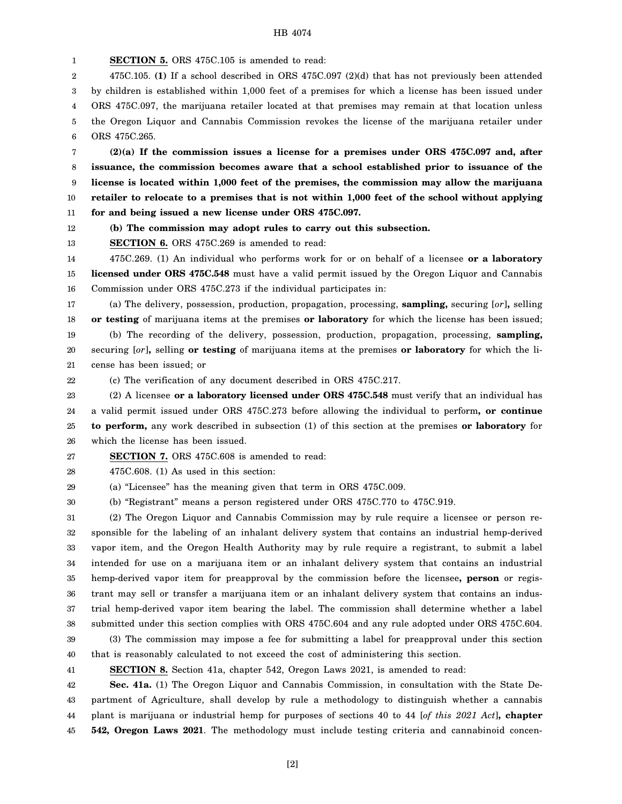**SECTION 5.** ORS 475C.105 is amended to read: 475C.105. **(1)** If a school described in ORS 475C.097 (2)(d) that has not previously been attended by children is established within 1,000 feet of a premises for which a license has been issued under ORS 475C.097, the marijuana retailer located at that premises may remain at that location unless the Oregon Liquor and Cannabis Commission revokes the license of the marijuana retailer under

6 ORS 475C.265.

7 8 9 10 11 **(2)(a) If the commission issues a license for a premises under ORS 475C.097 and, after issuance, the commission becomes aware that a school established prior to issuance of the license is located within 1,000 feet of the premises, the commission may allow the marijuana retailer to relocate to a premises that is not within 1,000 feet of the school without applying for and being issued a new license under ORS 475C.097.**

12 **(b) The commission may adopt rules to carry out this subsection.**

13 **SECTION 6.** ORS 475C.269 is amended to read:

14 15 16 475C.269. (1) An individual who performs work for or on behalf of a licensee **or a laboratory licensed under ORS 475C.548** must have a valid permit issued by the Oregon Liquor and Cannabis Commission under ORS 475C.273 if the individual participates in:

17 18 19 20 21 (a) The delivery, possession, production, propagation, processing, **sampling,** securing [*or*]**,** selling **or testing** of marijuana items at the premises **or laboratory** for which the license has been issued; (b) The recording of the delivery, possession, production, propagation, processing, **sampling,** securing [*or*]**,** selling **or testing** of marijuana items at the premises **or laboratory** for which the license has been issued; or

22

(c) The verification of any document described in ORS 475C.217.

23 24 25 26 (2) A licensee **or a laboratory licensed under ORS 475C.548** must verify that an individual has a valid permit issued under ORS 475C.273 before allowing the individual to perform**, or continue to perform,** any work described in subsection (1) of this section at the premises **or laboratory** for which the license has been issued.

27 **SECTION 7.** ORS 475C.608 is amended to read:

28 475C.608. (1) As used in this section:

29 (a) "Licensee" has the meaning given that term in ORS 475C.009.

30 (b) "Registrant" means a person registered under ORS 475C.770 to 475C.919.

31 32 33 34 35 36 37 38 39 (2) The Oregon Liquor and Cannabis Commission may by rule require a licensee or person responsible for the labeling of an inhalant delivery system that contains an industrial hemp-derived vapor item, and the Oregon Health Authority may by rule require a registrant, to submit a label intended for use on a marijuana item or an inhalant delivery system that contains an industrial hemp-derived vapor item for preapproval by the commission before the licensee**, person** or registrant may sell or transfer a marijuana item or an inhalant delivery system that contains an industrial hemp-derived vapor item bearing the label. The commission shall determine whether a label submitted under this section complies with ORS 475C.604 and any rule adopted under ORS 475C.604. (3) The commission may impose a fee for submitting a label for preapproval under this section

40 that is reasonably calculated to not exceed the cost of administering this section.

41

**SECTION 8.** Section 41a, chapter 542, Oregon Laws 2021, is amended to read:

42 43 44 45 **Sec. 41a.** (1) The Oregon Liquor and Cannabis Commission, in consultation with the State Department of Agriculture, shall develop by rule a methodology to distinguish whether a cannabis plant is marijuana or industrial hemp for purposes of sections 40 to 44 [*of this 2021 Act*]**, chapter 542, Oregon Laws 2021**. The methodology must include testing criteria and cannabinoid concen-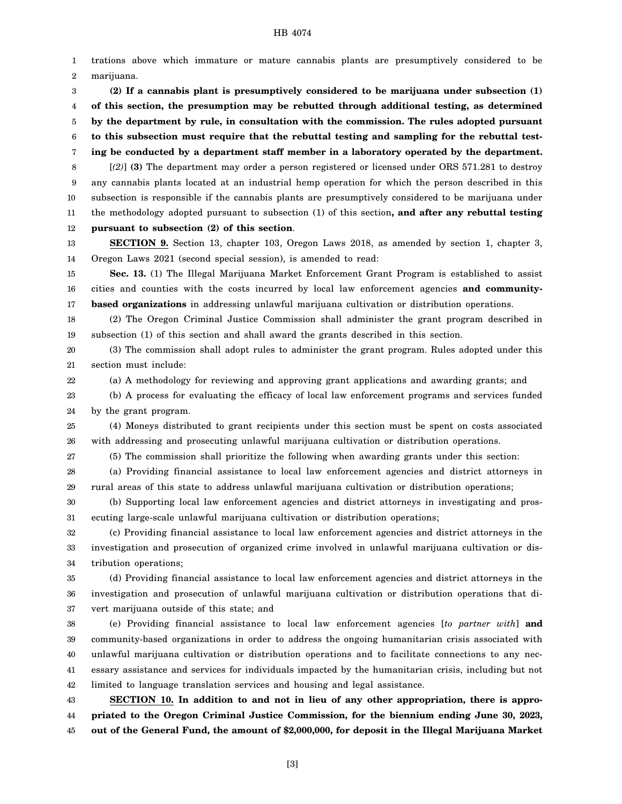## HB 4074

1 2 trations above which immature or mature cannabis plants are presumptively considered to be marijuana.

3 4 5 6 7 8 9 10 **(2) If a cannabis plant is presumptively considered to be marijuana under subsection (1) of this section, the presumption may be rebutted through additional testing, as determined by the department by rule, in consultation with the commission. The rules adopted pursuant to this subsection must require that the rebuttal testing and sampling for the rebuttal testing be conducted by a department staff member in a laboratory operated by the department.** [*(2)*] **(3)** The department may order a person registered or licensed under ORS 571.281 to destroy any cannabis plants located at an industrial hemp operation for which the person described in this subsection is responsible if the cannabis plants are presumptively considered to be marijuana under

12 **pursuant to subsection (2) of this section**.

11

22

13 14 **SECTION 9.** Section 13, chapter 103, Oregon Laws 2018, as amended by section 1, chapter 3, Oregon Laws 2021 (second special session), is amended to read:

the methodology adopted pursuant to subsection (1) of this section**, and after any rebuttal testing**

15 16 17 **Sec. 13.** (1) The Illegal Marijuana Market Enforcement Grant Program is established to assist cities and counties with the costs incurred by local law enforcement agencies **and communitybased organizations** in addressing unlawful marijuana cultivation or distribution operations.

18 19 (2) The Oregon Criminal Justice Commission shall administer the grant program described in subsection (1) of this section and shall award the grants described in this section.

20 21 (3) The commission shall adopt rules to administer the grant program. Rules adopted under this section must include:

(a) A methodology for reviewing and approving grant applications and awarding grants; and

23 24 (b) A process for evaluating the efficacy of local law enforcement programs and services funded by the grant program.

25 26 (4) Moneys distributed to grant recipients under this section must be spent on costs associated with addressing and prosecuting unlawful marijuana cultivation or distribution operations.

27 (5) The commission shall prioritize the following when awarding grants under this section:

28 29 (a) Providing financial assistance to local law enforcement agencies and district attorneys in rural areas of this state to address unlawful marijuana cultivation or distribution operations;

30 31 (b) Supporting local law enforcement agencies and district attorneys in investigating and prosecuting large-scale unlawful marijuana cultivation or distribution operations;

32 33 34 (c) Providing financial assistance to local law enforcement agencies and district attorneys in the investigation and prosecution of organized crime involved in unlawful marijuana cultivation or distribution operations;

35 36 37 (d) Providing financial assistance to local law enforcement agencies and district attorneys in the investigation and prosecution of unlawful marijuana cultivation or distribution operations that divert marijuana outside of this state; and

38 39 40 41 42 (e) Providing financial assistance to local law enforcement agencies [*to partner with*] **and** community-based organizations in order to address the ongoing humanitarian crisis associated with unlawful marijuana cultivation or distribution operations and to facilitate connections to any necessary assistance and services for individuals impacted by the humanitarian crisis, including but not limited to language translation services and housing and legal assistance.

43 44 45 **SECTION 10. In addition to and not in lieu of any other appropriation, there is appropriated to the Oregon Criminal Justice Commission, for the biennium ending June 30, 2023, out of the General Fund, the amount of \$2,000,000, for deposit in the Illegal Marijuana Market**